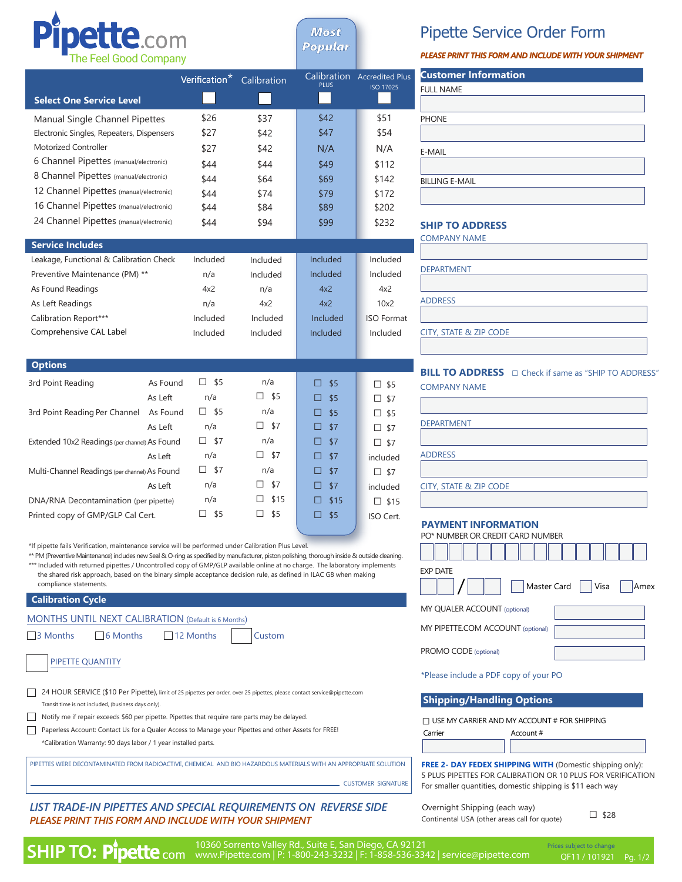

*Most Popular*

## Pipette Service Order Form

*PLEASE PRINT THIS FORM AND INCLUDE WITH YOUR SHIPMENT*

|                                                                                                                                                                                                                                                 | Verification <sup>*</sup> Calibration |                                                     |               | Calibration Accredited Plus | <b>Customer Information</b>                                                                                                     |
|-------------------------------------------------------------------------------------------------------------------------------------------------------------------------------------------------------------------------------------------------|---------------------------------------|-----------------------------------------------------|---------------|-----------------------------|---------------------------------------------------------------------------------------------------------------------------------|
|                                                                                                                                                                                                                                                 |                                       |                                                     | <b>PLUS</b>   | <b>ISO 17025</b>            | <b>FULL NAME</b>                                                                                                                |
| <b>Select One Service Level</b>                                                                                                                                                                                                                 |                                       |                                                     |               |                             |                                                                                                                                 |
| Manual Single Channel Pipettes                                                                                                                                                                                                                  | \$26                                  | \$37                                                | \$42          | \$51                        | <b>PHONE</b>                                                                                                                    |
| Electronic Singles, Repeaters, Dispensers                                                                                                                                                                                                       | \$27                                  | \$42                                                | \$47          | \$54                        |                                                                                                                                 |
| <b>Motorized Controller</b>                                                                                                                                                                                                                     | \$27                                  | \$42                                                | N/A           | N/A                         | E-MAIL                                                                                                                          |
| 6 Channel Pipettes (manual/electronic)                                                                                                                                                                                                          | \$44                                  | \$44                                                | \$49          | \$112                       |                                                                                                                                 |
| 8 Channel Pipettes (manual/electronic)                                                                                                                                                                                                          | \$44                                  | \$64                                                | \$69          | \$142                       | <b>BILLING E-MAIL</b>                                                                                                           |
| 12 Channel Pipettes (manual/electronic)                                                                                                                                                                                                         | \$44                                  | \$74                                                | \$79          | \$172                       |                                                                                                                                 |
| 16 Channel Pipettes (manual/electronic)                                                                                                                                                                                                         | \$44                                  | \$84                                                | \$89          | \$202                       |                                                                                                                                 |
| 24 Channel Pipettes (manual/electronic)                                                                                                                                                                                                         | \$44                                  | \$94                                                | \$99          | \$232                       | <b>SHIP TO ADDRESS</b>                                                                                                          |
|                                                                                                                                                                                                                                                 |                                       |                                                     |               |                             | <b>COMPANY NAME</b>                                                                                                             |
| <b>Service Includes</b>                                                                                                                                                                                                                         |                                       |                                                     |               |                             |                                                                                                                                 |
| Leakage, Functional & Calibration Check                                                                                                                                                                                                         | Included                              | Included                                            | Included      | Included                    | <b>DEPARTMENT</b>                                                                                                               |
| Preventive Maintenance (PM) **                                                                                                                                                                                                                  | n/a                                   | Included                                            | Included      | Included                    |                                                                                                                                 |
| As Found Readings                                                                                                                                                                                                                               | 4x2                                   | n/a                                                 | 4x2           | 4x2                         | <b>ADDRESS</b>                                                                                                                  |
| As Left Readings                                                                                                                                                                                                                                | n/a                                   | 4x2                                                 | 4x2           | 10x2                        |                                                                                                                                 |
| Calibration Report***                                                                                                                                                                                                                           | Included                              | Included                                            | Included      | <b>ISO Format</b>           |                                                                                                                                 |
| Comprehensive CAL Label                                                                                                                                                                                                                         | Included                              | Included                                            | Included      | Included                    | CITY, STATE & ZIP CODE                                                                                                          |
|                                                                                                                                                                                                                                                 |                                       |                                                     |               |                             |                                                                                                                                 |
| <b>Options</b>                                                                                                                                                                                                                                  |                                       |                                                     |               |                             | <b>BILL TO ADDRESS</b> $\Box$ Check if same as "SHIP TO ADDRESS                                                                 |
| 3rd Point Reading<br>As Found                                                                                                                                                                                                                   | $\square$ \$5                         | n/a                                                 | $\square$ \$5 | $\square$ \$5               | <b>COMPANY NAME</b>                                                                                                             |
| As Left                                                                                                                                                                                                                                         | n/a                                   | $\Box$ \$5                                          | \$5<br>⊡      | $\square$ \$7               |                                                                                                                                 |
| As Found<br>3rd Point Reading Per Channel                                                                                                                                                                                                       | $\square$ \$5                         | n/a                                                 | $\square$ \$5 | $\square$ \$5               |                                                                                                                                 |
| As Left                                                                                                                                                                                                                                         | n/a                                   | $\square$ \$7                                       | $\square$ \$7 | $\square$ \$7               | <b>DEPARTMENT</b>                                                                                                               |
| Extended 10x2 Readings (per channel) As Found                                                                                                                                                                                                   | $\square$ \$7                         | n/a                                                 | $\Box$<br>\$7 | $\square$ \$7               |                                                                                                                                 |
| As Left                                                                                                                                                                                                                                         | n/a                                   | $\square$ \$7                                       | $\square$ \$7 | included                    | <b>ADDRESS</b>                                                                                                                  |
| Multi-Channel Readings (per channel) As Found                                                                                                                                                                                                   | $\square$ \$7                         | n/a                                                 | $\square$ \$7 | $\square$ \$7               |                                                                                                                                 |
| As Left                                                                                                                                                                                                                                         | n/a                                   | \$7<br>⊔                                            | $\square$ \$7 | included                    | CITY, STATE & ZIP CODE                                                                                                          |
| DNA/RNA Decontamination (per pipette)                                                                                                                                                                                                           | n/a                                   | \$15<br>□                                           | $\Box$ \$15   | $\Box$ \$15                 |                                                                                                                                 |
| Printed copy of GMP/GLP Cal Cert.                                                                                                                                                                                                               | $\square$ \$5                         | $\square$ \$5                                       | $\square$ \$5 | ISO Cert.                   |                                                                                                                                 |
|                                                                                                                                                                                                                                                 |                                       |                                                     |               |                             | <b>PAYMENT INFORMATION</b>                                                                                                      |
| *If pipette fails Verification, maintenance service will be performed under Calibration Plus Level.                                                                                                                                             |                                       |                                                     |               |                             | PO* NUMBER OR CREDIT CARD NUMBER                                                                                                |
| ** PM (Preventive Maintenance) includes new Seal & O-ring as specified by manufacturer, piston polishing, thorough inside & outside cleaning.                                                                                                   |                                       |                                                     |               |                             |                                                                                                                                 |
| *** Included with returned pipettes / Uncontrolled copy of GMP/GLP available online at no charge. The laboratory implements<br>the shared risk approach, based on the binary simple acceptance decision rule, as defined in ILAC G8 when making |                                       |                                                     |               |                             | <b>EXP DATE</b>                                                                                                                 |
| compliance statements.                                                                                                                                                                                                                          |                                       |                                                     |               |                             | Master Card<br>Visa<br>Amex                                                                                                     |
| <b>Calibration Cycle</b>                                                                                                                                                                                                                        |                                       |                                                     |               |                             |                                                                                                                                 |
| MONTHS UNTIL NEXT CALIBRATION (Default is 6 Months)                                                                                                                                                                                             |                                       | MY QUALER ACCOUNT (optional)                        |               |                             |                                                                                                                                 |
| 6 Months<br>$\Box$ 12 Months<br>Custom<br>$\Box$ 3 Months                                                                                                                                                                                       |                                       |                                                     |               |                             | MY PIPETTE.COM ACCOUNT (optional)                                                                                               |
|                                                                                                                                                                                                                                                 |                                       |                                                     |               |                             | PROMO CODE (optional)                                                                                                           |
| PIPETTE QUANTITY                                                                                                                                                                                                                                |                                       |                                                     |               |                             |                                                                                                                                 |
|                                                                                                                                                                                                                                                 |                                       |                                                     |               |                             | *Please include a PDF copy of your PO                                                                                           |
| 24 HOUR SERVICE (\$10 Per Pipette), limit of 25 pipettes per order, over 25 pipettes, please contact service@pipette.com<br>Transit time is not included, (business days only).                                                                 |                                       | <b>Shipping/Handling Options</b>                    |               |                             |                                                                                                                                 |
| Notify me if repair exceeds \$60 per pipette. Pipettes that require rare parts may be delayed.                                                                                                                                                  |                                       |                                                     |               |                             |                                                                                                                                 |
| Paperless Account: Contact Us for a Qualer Access to Manage your Pipettes and other Assets for FREE!                                                                                                                                            |                                       | $\Box$ USE MY CARRIER AND MY ACCOUNT # FOR SHIPPING |               |                             |                                                                                                                                 |
| *Calibration Warranty: 90 days labor / 1 year installed parts.                                                                                                                                                                                  |                                       | Carrier<br>Account #                                |               |                             |                                                                                                                                 |
|                                                                                                                                                                                                                                                 |                                       |                                                     |               |                             |                                                                                                                                 |
| PIPETTES WERE DECONTAMINATED FROM RADIOACTIVE, CHEMICAL AND BIO HAZARDOUS MATERIALS WITH AN APPROPRIATE SOLUTION                                                                                                                                |                                       |                                                     |               |                             | <b>FREE 2- DAY FEDEX SHIPPING WITH (Domestic shipping only):</b><br>5 PLUS PIPETTES FOR CALIBRATION OR 10 PLUS FOR VERIFICATION |
|                                                                                                                                                                                                                                                 |                                       |                                                     |               | <b>CUSTOMER SIGNATURE</b>   | For smaller quantities, domestic shipping is \$11 each way                                                                      |

*LIST TRADE-IN PIPETTES AND SPECIAL REQUIREMENTS ON REVERSE SIDE PLEASE PRINT THIS FORM AND INCLUDE WITH YOUR SHIPMENT*

## Overnight Shipping (each way) Continental USA (other areas call for quote)  $\Box$  \$28

10360 Sorrento Valley Rd., Suite E, San Diego, CA 92121<br>**SHIP TO: Pipette** com www.Pipette.com | P: 1-800-243-3232 | F: 1-858-536-3342 | service@pipette.com